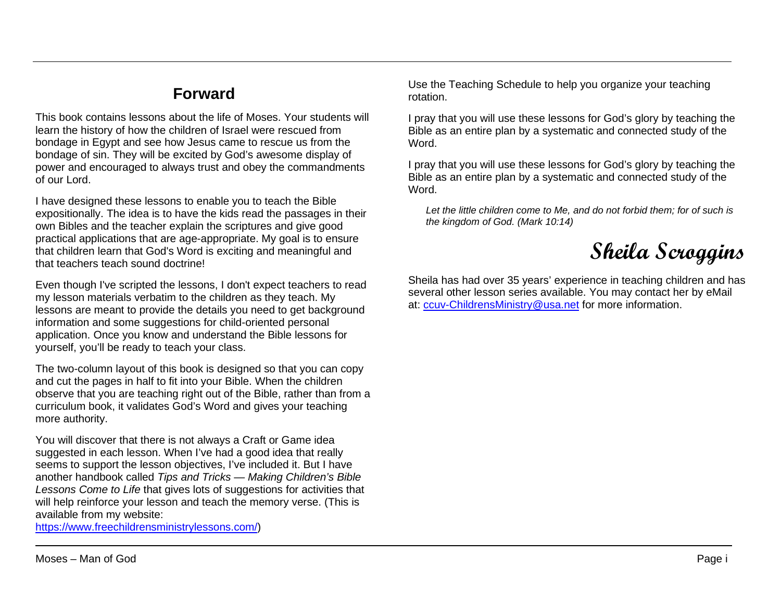## **Forward**

This book contains lessons about the life of Moses. Your students will learn the history of how the children of Israel were rescued from bondage in Egypt and see how Jesus came to rescue us from the bondage of sin. They will be excited by God's awesome display of power and encouraged to always trust and obey the commandments of our Lord.

I have designed these lessons to enable you to teach the Bible expositionally. The idea is to have the kids read the passages in their own Bibles and the teacher explain the scriptures and give good practical applications that are age-appropriate. My goal is to ensure that children learn that God's Word is exciting and meaningful and that teachers teach sound doctrine!

Even though I've scripted the lessons, I don't expect teachers to read my lesson materials verbatim to the children as they teach. My lessons are meant to provide the details you need to get background information and some suggestions for child-oriented personal application. Once you know and understand the Bible lessons for yourself, you'll be ready to teach your class.

The two-column layout of this book is designed so that you can copy and cut the pages in half to fit into your Bible. When the children observe that you are teaching right out of the Bible, rather than from a curriculum book, it validates God's Word and gives your teaching more authority.

You will discover that there is not always a Craft or Game idea suggested in each lesson. When I've had a good idea that really seems to support the lesson objectives, I've included it. But I have another handbook called *Tips and Tricks — Making Children's Bible Lessons Come to Life* that gives lots of suggestions for activities that will help reinforce your lesson and teach the memory verse. (This is available from my website:

[https://www.freechildrensministrylessons.com/\)](https://www.freechildrensministrylessons.com/)

Use the Teaching Schedule to help you organize your teaching rotation.

I pray that you will use these lessons for God's glory by teaching the Bible as an entire plan by a systematic and connected study of the Word.

I pray that you will use these lessons for God's glory by teaching the Bible as an entire plan by a systematic and connected study of the Word.

*Let the little children come to Me, and do not forbid them; for of such is the kingdom of God. (Mark 10:14)*

**Sheila Scroggins**

Sheila has had over 35 years' experience in teaching children and has several other lesson series available. You may contact her by eMail at: [ccuv-ChildrensMinistry@usa.net](mailto:ccuv-ChildrensMinistry@usa.net) for more information.